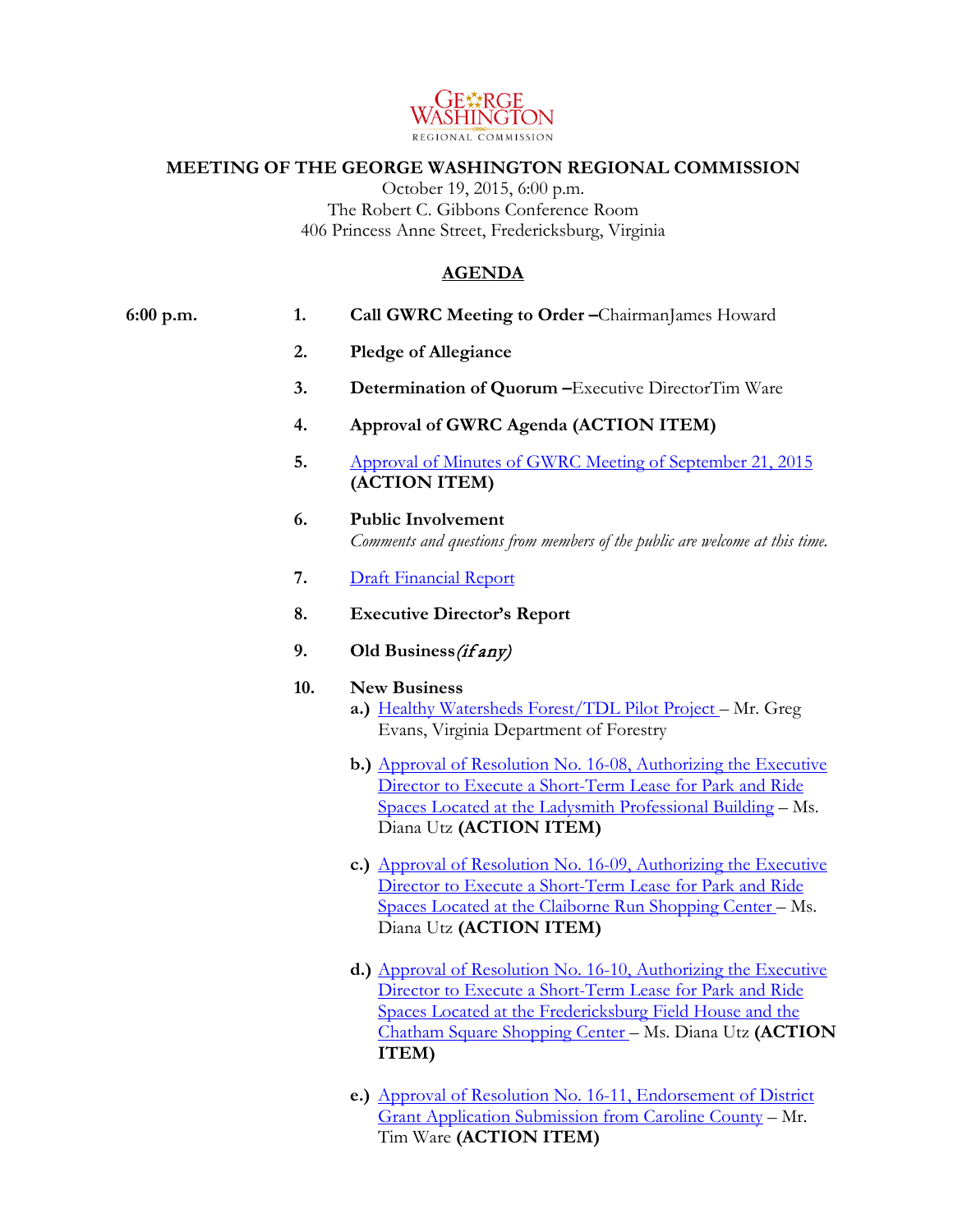

## **MEETING OF THE GEORGE WASHINGTON REGIONAL COMMISSION**

October 19, 2015, 6:00 p.m. The Robert C. Gibbons Conference Room 406 Princess Anne Street, Fredericksburg, Virginia

## **AGENDA**

| $6:00$ p.m. | 1.  | Call GWRC Meeting to Order-ChairmanJames Howard                                                                                                                                                                       |  |
|-------------|-----|-----------------------------------------------------------------------------------------------------------------------------------------------------------------------------------------------------------------------|--|
|             | 2.  | <b>Pledge of Allegiance</b>                                                                                                                                                                                           |  |
|             | 3.  | <b>Determination of Quorum - Executive DirectorTim Ware</b>                                                                                                                                                           |  |
|             | 4.  | Approval of GWRC Agenda (ACTION ITEM)                                                                                                                                                                                 |  |
|             | 5.  | Approval of Minutes of GWRC Meeting of September 21, 2015<br>(ACTION ITEM)                                                                                                                                            |  |
|             | 6.  | <b>Public Involvement</b><br>Comments and questions from members of the public are welcome at this time.                                                                                                              |  |
|             | 7.  | <b>Draft Financial Report</b>                                                                                                                                                                                         |  |
|             | 8.  | <b>Executive Director's Report</b>                                                                                                                                                                                    |  |
|             | 9.  | Old Business (if any)                                                                                                                                                                                                 |  |
|             | 10. | <b>New Business</b><br>a.) Healthy Watersheds Forest/TDL Pilot Project - Mr. Greg<br>Evans, Virginia Department of Forestry                                                                                           |  |
|             |     | b.) Approval of Resolution No. 16-08, Authorizing the Executive<br>Director to Execute a Short-Term Lease for Park and Ride<br>Spaces Located at the Ladysmith Professional Building - Ms.<br>Diana Utz (ACTION ITEM) |  |
|             |     | c.) Approval of Resolution No. 16-09, Authorizing the Executive<br>Director to Execute a Short-Term Lease for Park and Ride<br>Spaces Located at the Claiborne Run Shopping Center - Ms.<br>Diana Utz (ACTION ITEM)   |  |

- **d.)** [Approval of Resolution No. 16-10, Authorizing the Executive](https://www.gwregion.org/wp-content/uploads/2015/10/GWRC-Resolution-16-10-Authorizing-the-ED-to-Execute-Renewals-to-Short-term-Leases-for-Park-and-Ride-Spaces_Fredericksburg-Field-House-and-Chatham-Sq-lease-attached-.pdf)  [Director to Execute a Short-Term Lease for Park and Ride](https://www.gwregion.org/wp-content/uploads/2015/10/GWRC-Resolution-16-10-Authorizing-the-ED-to-Execute-Renewals-to-Short-term-Leases-for-Park-and-Ride-Spaces_Fredericksburg-Field-House-and-Chatham-Sq-lease-attached-.pdf)  [Spaces Located at the Fredericksburg Field House and the](https://www.gwregion.org/wp-content/uploads/2015/10/GWRC-Resolution-16-10-Authorizing-the-ED-to-Execute-Renewals-to-Short-term-Leases-for-Park-and-Ride-Spaces_Fredericksburg-Field-House-and-Chatham-Sq-lease-attached-.pdf)  [Chatham Square Shopping Center](https://www.gwregion.org/wp-content/uploads/2015/10/GWRC-Resolution-16-10-Authorizing-the-ED-to-Execute-Renewals-to-Short-term-Leases-for-Park-and-Ride-Spaces_Fredericksburg-Field-House-and-Chatham-Sq-lease-attached-.pdf) – Ms. Diana Utz **(ACTION ITEM)**
- **e.)** [Approval of Resolution No. 16-11, Endorsement of District](https://www.gwregion.org/wp-content/uploads/2015/10/GWRC-Resolution-16-11-Endorsement-of-Caroline-County-SC-639-Candidate-Project1.pdf)  [Grant Application Submission from Caroline County](https://www.gwregion.org/wp-content/uploads/2015/10/GWRC-Resolution-16-11-Endorsement-of-Caroline-County-SC-639-Candidate-Project1.pdf) – Mr. Tim Ware **(ACTION ITEM)**